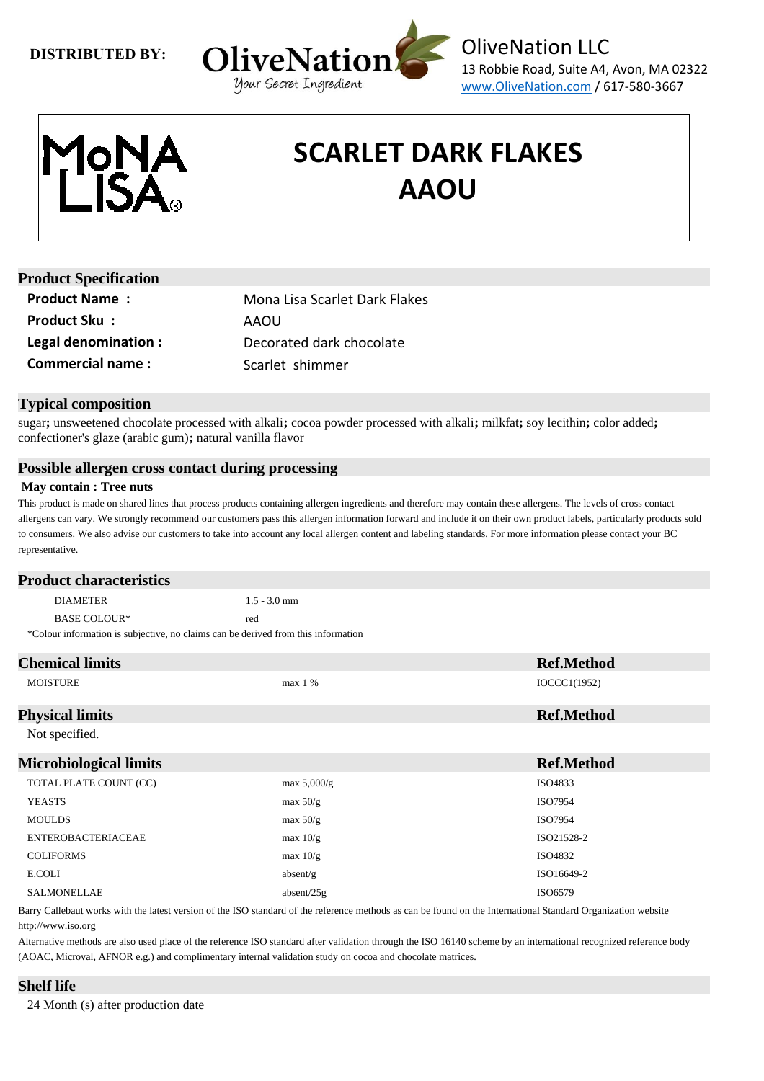



# **SCARLET DARK FLAKES AAOU**

| <b>Product Specification</b> |                               |
|------------------------------|-------------------------------|
| <b>Product Name:</b>         | Mona Lisa Scarlet Dark Flakes |
| <b>Product Sku:</b>          | AAOU                          |
| Legal denomination :         | Decorated dark chocolate      |
| <b>Commercial name:</b>      | Scarlet shimmer               |

## **Typical composition**

sugar**;** unsweetened chocolate processed with alkali**;** cocoa powder processed with alkali**;** milkfat**;** soy lecithin**;** color added**;** confectioner's glaze (arabic gum)**;** natural vanilla flavor

### **Possible allergen cross contact during processing**

#### **May contain : Tree nuts**

This product is made on shared lines that process products containing allergen ingredients and therefore may contain these allergens. The levels of cross contact allergens can vary. We strongly recommend our customers pass this allergen information forward and include it on their own product labels, particularly products sold to consumers. We also advise our customers to take into account any local allergen content and labeling standards. For more information please contact your BC representative.

| <b>Product characteristics</b> |                                                                                   |
|--------------------------------|-----------------------------------------------------------------------------------|
| <b>DIAMETER</b>                | $1.5 - 3.0$ mm                                                                    |
| BASE COLOUR*                   | red                                                                               |
|                                | *Colour information is subjective, no claims can be derived from this information |

| <b>Chemical limits</b>        |                | <b>Ref.Method</b> |
|-------------------------------|----------------|-------------------|
| <b>MOISTURE</b>               | max 1 %        | IOCCC1(1952)      |
| <b>Physical limits</b>        |                | <b>Ref.Method</b> |
| Not specified.                |                |                   |
| <b>Microbiological limits</b> |                | <b>Ref.Method</b> |
| TOTAL PLATE COUNT (CC)        | $max\ 5,000/g$ | ISO4833           |
| <b>YEASTS</b>                 | max 50/g       | ISO7954           |
| <b>MOULDS</b>                 | max 50/g       | ISO7954           |
| <b>ENTEROBACTERIACEAE</b>     | max $10/g$     | ISO21528-2        |
| <b>COLIFORMS</b>              | max 10/g       | ISO4832           |
| E.COLI                        | absent/g       | ISO16649-2        |
| <b>SALMONELLAE</b>            | absent/ $25g$  | ISO6579           |

Barry Callebaut works with the latest version of the ISO standard of the reference methods as can be found on the International Standard Organization website http://www.iso.org

Alternative methods are also used place of the reference ISO standard after validation through the ISO 16140 scheme by an international recognized reference body (AOAC, Microval, AFNOR e.g.) and complimentary internal validation study on cocoa and chocolate matrices.

## **Shelf life**

24 Month (s) after production date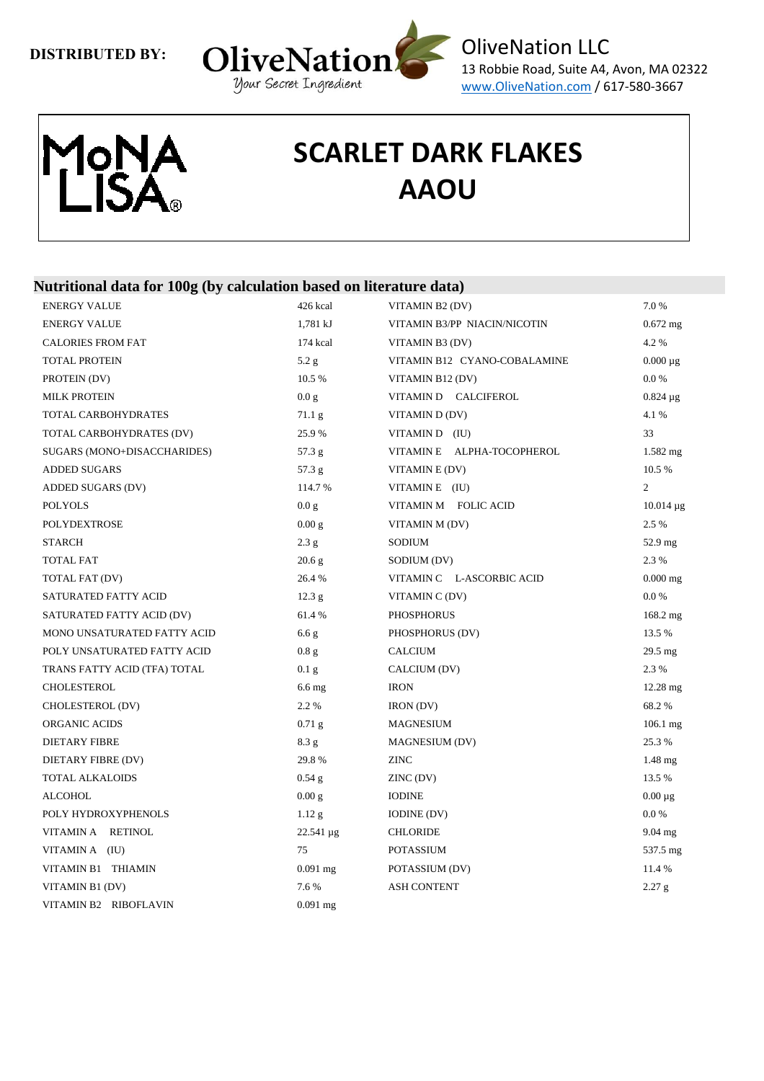



# **SCARLET DARK FLAKES AAOU**

## **Nutritional data for 100g (by calculation based on literature data)**

| <b>ENERGY VALUE</b>          | 426 kcal          | VITAMIN B2 (DV)              | 7.0%              |
|------------------------------|-------------------|------------------------------|-------------------|
| <b>ENERGY VALUE</b>          | 1,781 kJ          | VITAMIN B3/PP NIACIN/NICOTIN | $0.672$ mg        |
| <b>CALORIES FROM FAT</b>     | 174 kcal          | VITAMIN B3 (DV)              | 4.2 %             |
| <b>TOTAL PROTEIN</b>         | 5.2 g             | VITAMIN B12 CYANO-COBALAMINE | $0.000 \mu g$     |
| PROTEIN (DV)                 | 10.5 %            | VITAMIN B12 (DV)             | $0.0\ \%$         |
| <b>MILK PROTEIN</b>          | 0.0 g             | VITAMIN D CALCIFEROL         | $0.824 \mu g$     |
| TOTAL CARBOHYDRATES          | 71.1 <sub>g</sub> | VITAMIN D(DV)                | 4.1 %             |
| TOTAL CARBOHYDRATES (DV)     | 25.9%             | VITAMIN D (IU)               | 33                |
| SUGARS (MONO+DISACCHARIDES)  | 57.3 g            | VITAMINE ALPHA-TOCOPHEROL    | $1.582$ mg        |
| <b>ADDED SUGARS</b>          | 57.3 g            | VITAMIN E (DV)               | 10.5%             |
| ADDED SUGARS (DV)            | 114.7 %           | VITAMIN E (IU)               | $\overline{2}$    |
| <b>POLYOLS</b>               | 0.0 g             | VITAMIN M FOLIC ACID         | $10.014 \,\mu g$  |
| <b>POLYDEXTROSE</b>          | 0.00 g            | VITAMIN M (DV)               | 2.5 %             |
| <b>STARCH</b>                | 2.3 g             | SODIUM                       | $52.9$ mg         |
| TOTAL FAT                    | 20.6 g            | SODIUM (DV)                  | 2.3 %             |
| TOTAL FAT (DV)               | 26.4%             | VITAMIN C L-ASCORBIC ACID    | $0.000$ mg        |
| SATURATED FATTY ACID         | 12.3 <sub>g</sub> | VITAMIN C (DV)               | 0.0 %             |
| SATURATED FATTY ACID (DV)    | 61.4%             | <b>PHOSPHORUS</b>            | 168.2 mg          |
| MONO UNSATURATED FATTY ACID  | 6.6 g             | PHOSPHORUS (DV)              | 13.5 %            |
| POLY UNSATURATED FATTY ACID  | 0.8g              | <b>CALCIUM</b>               | $29.5 \text{ mg}$ |
| TRANS FATTY ACID (TFA) TOTAL | 0.1 <sub>g</sub>  | CALCIUM (DV)                 | 2.3%              |
| <b>CHOLESTEROL</b>           | $6.6$ mg          | <b>IRON</b>                  | 12.28 mg          |
| CHOLESTEROL (DV)             | 2.2 %             | IRON (DV)                    | 68.2%             |
| <b>ORGANIC ACIDS</b>         | $0.71$ g          | <b>MAGNESIUM</b>             | $106.1$ mg        |
| <b>DIETARY FIBRE</b>         | 8.3 g             | <b>MAGNESIUM (DV)</b>        | 25.3%             |
| DIETARY FIBRE (DV)           | 29.8%             | <b>ZINC</b>                  | $1.48$ mg         |
| <b>TOTAL ALKALOIDS</b>       | $0.54$ g          | ZINC (DV)                    | 13.5 %            |
| <b>ALCOHOL</b>               | 0.00 g            | <b>IODINE</b>                | $0.00 \mu$ g      |
| POLY HYDROXYPHENOLS          | $1.12$ g          | <b>IODINE</b> (DV)           | 0.0 %             |
| VITAMINA RETINOL             | 22.541 µg         | <b>CHLORIDE</b>              | $9.04$ mg         |
| VITAMINA (IU)                | 75                | <b>POTASSIUM</b>             | 537.5 mg          |
| VITAMIN B1 THIAMIN           | $0.091$ mg        | POTASSIUM (DV)               | 11.4 %            |
| VITAMIN B1 (DV)              | 7.6 %             | <b>ASH CONTENT</b>           | 2.27 g            |
| VITAMIN B2 RIBOFLAVIN        | $0.091$ mg        |                              |                   |